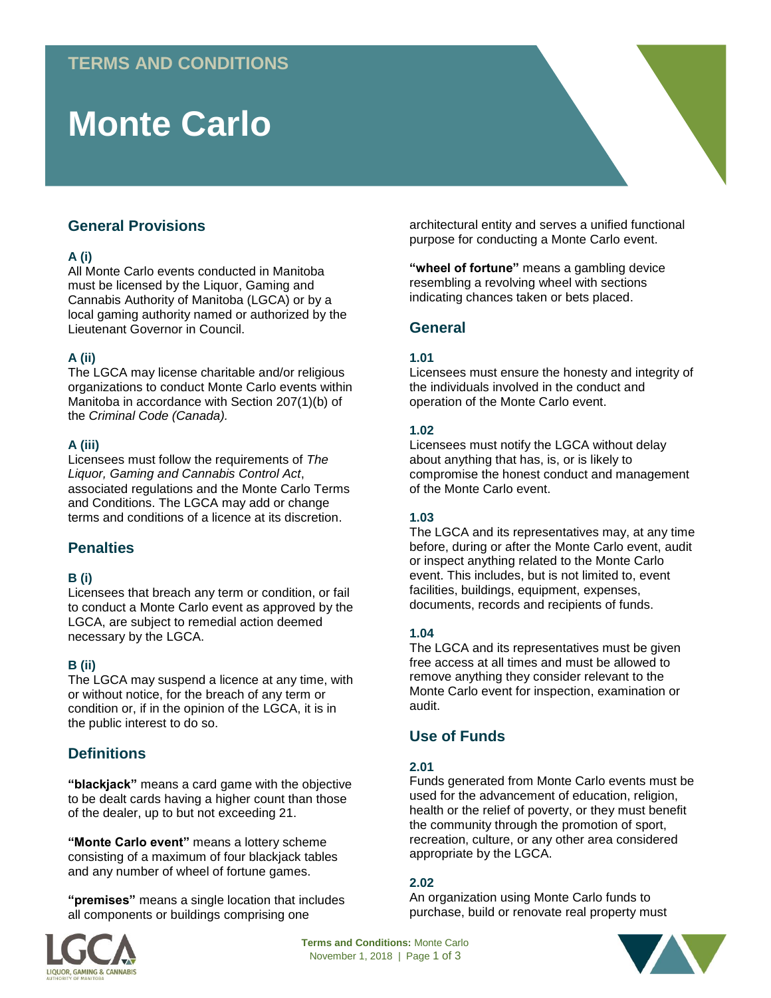# **Monte Carlo**

# **General Provisions**

## **A (i)**

All Monte Carlo events conducted in Manitoba must be licensed by the Liquor, Gaming and Cannabis Authority of Manitoba (LGCA) or by a local gaming authority named or authorized by the Lieutenant Governor in Council.

## **A (ii)**

The LGCA may license charitable and/or religious organizations to conduct Monte Carlo events within Manitoba in accordance with Section 207(1)(b) of the *Criminal Code (Canada).* 

### **A (iii)**

Licensees must follow the requirements of *The Liquor, Gaming and Cannabis Control Act*, associated regulations and the Monte Carlo Terms and Conditions. The LGCA may add or change terms and conditions of a licence at its discretion.

# **Penalties**

#### **B (i)**

Licensees that breach any term or condition, or fail to conduct a Monte Carlo event as approved by the LGCA, are subject to remedial action deemed necessary by the LGCA.

## **B (ii)**

The LGCA may suspend a licence at any time, with or without notice, for the breach of any term or condition or, if in the opinion of the LGCA, it is in the public interest to do so.

# **Definitions**

**"blackjack"** means a card game with the objective to be dealt cards having a higher count than those of the dealer, up to but not exceeding 21.

**"Monte Carlo event"** means a lottery scheme consisting of a maximum of four blackjack tables and any number of wheel of fortune games.

**"premises"** means a single location that includes all components or buildings comprising one



architectural entity and serves a unified functional purpose for conducting a Monte Carlo event.

**"wheel of fortune"** means a gambling device resembling a revolving wheel with sections indicating chances taken or bets placed.

# **General**

### **1.01**

Licensees must ensure the honesty and integrity of the individuals involved in the conduct and operation of the Monte Carlo event.

#### **1.02**

Licensees must notify the LGCA without delay about anything that has, is, or is likely to compromise the honest conduct and management of the Monte Carlo event.

#### **1.03**

The LGCA and its representatives may, at any time before, during or after the Monte Carlo event, audit or inspect anything related to the Monte Carlo event. This includes, but is not limited to, event facilities, buildings, equipment, expenses, documents, records and recipients of funds.

## **1.04**

The LGCA and its representatives must be given free access at all times and must be allowed to remove anything they consider relevant to the Monte Carlo event for inspection, examination or audit.

# **Use of Funds**

#### **2.01**

Funds generated from Monte Carlo events must be used for the advancement of education, religion, health or the relief of poverty, or they must benefit the community through the promotion of sport, recreation, culture, or any other area considered appropriate by the LGCA.

## **2.02**

An organization using Monte Carlo funds to purchase, build or renovate real property must

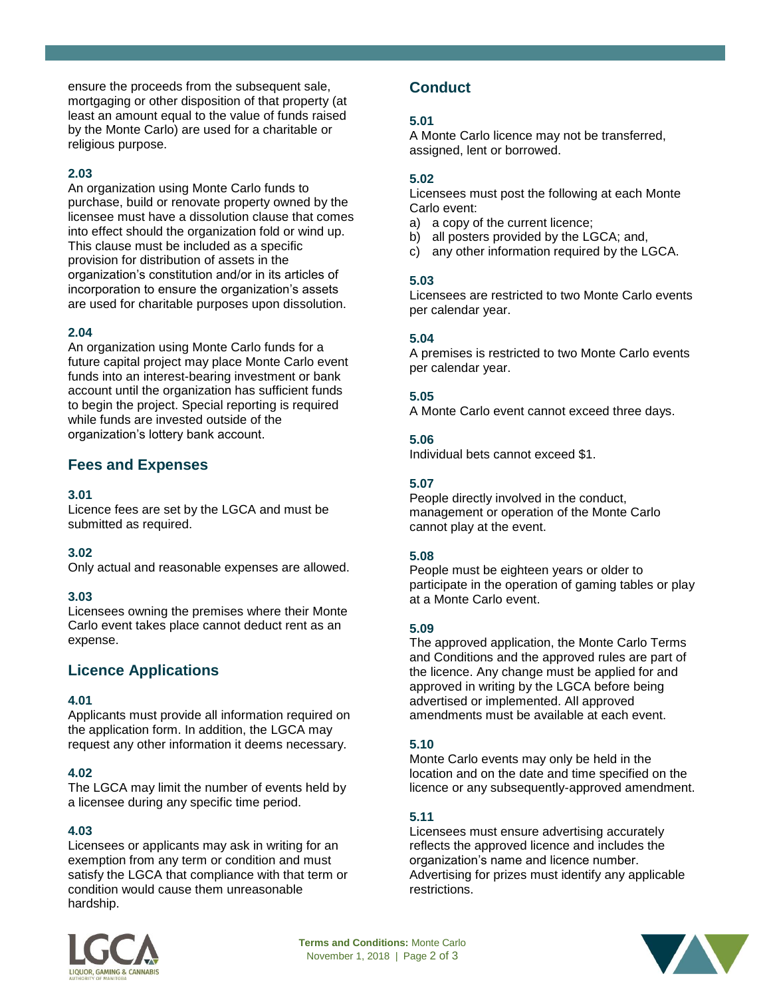ensure the proceeds from the subsequent sale, mortgaging or other disposition of that property (at least an amount equal to the value of funds raised by the Monte Carlo) are used for a charitable or religious purpose.

#### **2.03**

An organization using Monte Carlo funds to purchase, build or renovate property owned by the licensee must have a dissolution clause that comes into effect should the organization fold or wind up. This clause must be included as a specific provision for distribution of assets in the organization's constitution and/or in its articles of incorporation to ensure the organization's assets are used for charitable purposes upon dissolution.

### **2.04**

An organization using Monte Carlo funds for a future capital project may place Monte Carlo event funds into an interest-bearing investment or bank account until the organization has sufficient funds to begin the project. Special reporting is required while funds are invested outside of the organization's lottery bank account.

## **Fees and Expenses**

#### **3.01**

Licence fees are set by the LGCA and must be submitted as required.

#### **3.02**

Only actual and reasonable expenses are allowed.

#### **3.03**

Licensees owning the premises where their Monte Carlo event takes place cannot deduct rent as an expense.

# **Licence Applications**

#### **4.01**

Applicants must provide all information required on the application form. In addition, the LGCA may request any other information it deems necessary.

#### **4.02**

The LGCA may limit the number of events held by a licensee during any specific time period.

#### **4.03**

Licensees or applicants may ask in writing for an exemption from any term or condition and must satisfy the LGCA that compliance with that term or condition would cause them unreasonable hardship.

# **Conduct**

### **5.01**

A Monte Carlo licence may not be transferred, assigned, lent or borrowed.

#### **5.02**

Licensees must post the following at each Monte Carlo event:

- a) a copy of the current licence;
- b) all posters provided by the LGCA; and,
- c) any other information required by the LGCA.

#### **5.03**

Licensees are restricted to two Monte Carlo events per calendar year.

#### **5.04**

A premises is restricted to two Monte Carlo events per calendar year.

### **5.05**

A Monte Carlo event cannot exceed three days.

#### **5.06**

Individual bets cannot exceed \$1.

#### **5.07**

People directly involved in the conduct, management or operation of the Monte Carlo cannot play at the event.

#### **5.08**

People must be eighteen years or older to participate in the operation of gaming tables or play at a Monte Carlo event.

#### **5.09**

The approved application, the Monte Carlo Terms and Conditions and the approved rules are part of the licence. Any change must be applied for and approved in writing by the LGCA before being advertised or implemented. All approved amendments must be available at each event.

## **5.10**

Monte Carlo events may only be held in the location and on the date and time specified on the licence or any subsequently-approved amendment.

#### **5.11**

Licensees must ensure advertising accurately reflects the approved licence and includes the organization's name and licence number. Advertising for prizes must identify any applicable restrictions.



**Terms and Conditions:** Monte Carlo November 1, 2018 | Page 2 of 3